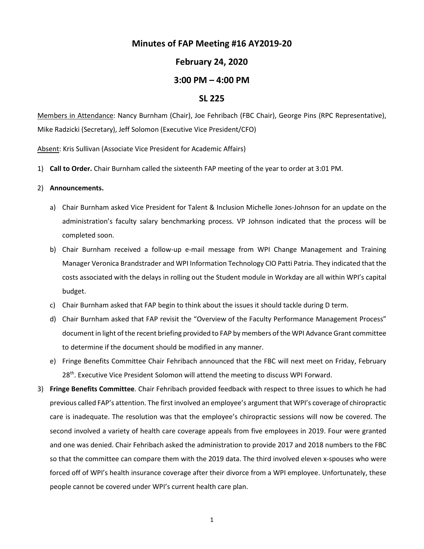# **Minutes of FAP Meeting #16 AY2019-20**

## **February 24, 2020**

## **3:00 PM – 4:00 PM**

#### **SL 225**

Members in Attendance: Nancy Burnham (Chair), Joe Fehribach (FBC Chair), George Pins (RPC Representative), Mike Radzicki (Secretary), Jeff Solomon (Executive Vice President/CFO)

Absent: Kris Sullivan (Associate Vice President for Academic Affairs)

1) **Call to Order.** Chair Burnham called the sixteenth FAP meeting of the year to order at 3:01 PM.

#### 2) **Announcements.**

- a) Chair Burnham asked Vice President for Talent & Inclusion Michelle Jones-Johnson for an update on the administration's faculty salary benchmarking process. VP Johnson indicated that the process will be completed soon.
- b) Chair Burnham received a follow-up e-mail message from WPI Change Management and Training Manager Veronica Brandstrader and WPI Information Technology CIO Patti Patria. They indicated that the costs associated with the delays in rolling out the Student module in Workday are all within WPI's capital budget.
- c) Chair Burnham asked that FAP begin to think about the issues it should tackle during D term.
- d) Chair Burnham asked that FAP revisit the "Overview of the Faculty Performance Management Process" document in light of the recent briefing provided to FAP by members of the WPI Advance Grant committee to determine if the document should be modified in any manner.
- e) Fringe Benefits Committee Chair Fehribach announced that the FBC will next meet on Friday, February 28<sup>th</sup>. Executive Vice President Solomon will attend the meeting to discuss WPI Forward.
- 3) **Fringe Benefits Committee**. Chair Fehribach provided feedback with respect to three issues to which he had previous called FAP's attention. The first involved an employee's argument that WPI's coverage of chiropractic care is inadequate. The resolution was that the employee's chiropractic sessions will now be covered. The second involved a variety of health care coverage appeals from five employees in 2019. Four were granted and one was denied. Chair Fehribach asked the administration to provide 2017 and 2018 numbers to the FBC so that the committee can compare them with the 2019 data. The third involved eleven x-spouses who were forced off of WPI's health insurance coverage after their divorce from a WPI employee. Unfortunately, these people cannot be covered under WPI's current health care plan.